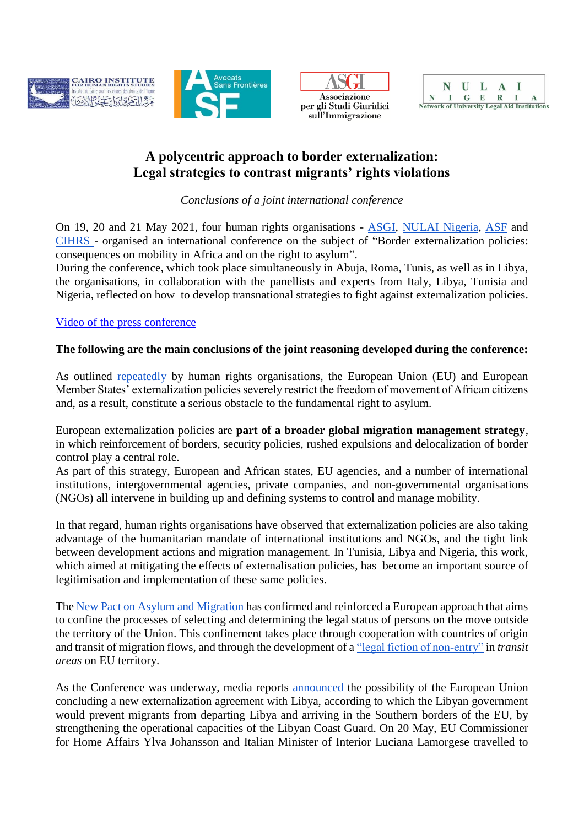







## **A polycentric approach to border externalization: Legal strategies to contrast migrants' rights violations**

*Conclusions of a joint international conference*

On 19, 20 and 21 May 2021, four human rights organisations - [ASGI,](https://www.asgi.it/) [NULAI Nigeria,](https://nulai.org/) [ASF](https://www.asf.be/) and [CIHRS -](https://cihrs.org/?lang=en) organised an international conference on the subject of "Border externalization policies: consequences on mobility in Africa and on the right to asylum".

During the conference, which took place simultaneously in Abuja, Roma, Tunis, as well as in Libya, the organisations, in collaboration with the panellists and experts from Italy, Libya, Tunisia and Nigeria, reflected on how to develop transnational strategies to fight against externalization policies.

## [Video of the press conference](https://www.facebook.com/watch/live/?v=152490750112602&ref=watch_permalink)

## **The following are the main conclusions of the joint reasoning developed during the conference:**

As outlined [repeatedly](https://cihrs.org/eu-time-to-review-and-remedy-cooperation-policies-facilitating-abuse-of-refugees-and-migrants-in-libya/?lang=en) by human rights organisations, the European Union (EU) and European Member States' externalization policies severely restrict the freedom of movement of African citizens and, as a result, constitute a serious obstacle to the fundamental right to asylum.

European externalization policies are **part of a broader global migration management strategy**, in which reinforcement of borders, security policies, rushed expulsions and delocalization of border control play a central role.

As part of this strategy, European and African states, EU agencies, and a number of international institutions, intergovernmental agencies, private companies, and non-governmental organisations (NGOs) all intervene in building up and defining systems to control and manage mobility.

In that regard, human rights organisations have observed that externalization policies are also taking advantage of the humanitarian mandate of international institutions and NGOs, and the tight link between development actions and migration management. In Tunisia, Libya and Nigeria, this work, which aimed at mitigating the effects of externalisation policies, has become an important source of legitimisation and implementation of these same policies.

The [New Pact on Asylum and Migration](https://euromedrights.org/publication/eu-pact-on-migration-and-asylum-cannot-work/) has confirmed and reinforced a European approach that aims to confine the processes of selecting and determining the legal status of persons on the move outside the territory of the Union. This confinement takes place through cooperation with countries of origin and transit of migration flows, and through the development of [a "legal fiction of non-entry"](https://www.ecre.org/wp-content/uploads/2020/12/Policy-Note-29.pdf) in *transit areas* on EU territory.

As the Conference was underway, media reports [announced](https://www.dw.com/en/eu-seeks-migration-deals-with-libya-and-tunisia/a-57592161) the possibility of the European Union concluding a new externalization agreement with Libya, according to which the Libyan government would prevent migrants from departing Libya and arriving in the Southern borders of the EU, by strengthening the operational capacities of the Libyan Coast Guard. On 20 May, EU Commissioner for Home Affairs Ylva Johansson and Italian Minister of Interior Luciana Lamorgese travelled to